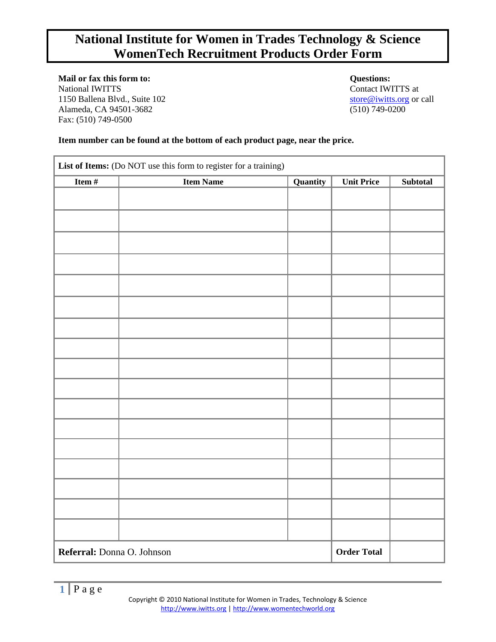# **National Institute for Women in Trades Technology & Science WomenTech Recruitment Products Order Form**

**Mail or fax this form to: Questions:** National IWITTS at Contact IWITTS at 1150 Ballena Blvd., Suite 102 [store@iwitts.org](mailto:store@iwitts.org) or call Alameda, CA 94501-3682 (510) 749-0200 Fax: (510) 749-0500

## **Item number can be found at the bottom of each product page, near the price.**

| Item $#$                   | <b>Item Name</b> | Quantity | <b>Unit Price</b>  | Subtotal |
|----------------------------|------------------|----------|--------------------|----------|
|                            |                  |          |                    |          |
|                            |                  |          |                    |          |
|                            |                  |          |                    |          |
|                            |                  |          |                    |          |
|                            |                  |          |                    |          |
|                            |                  |          |                    |          |
|                            |                  |          |                    |          |
|                            |                  |          |                    |          |
|                            |                  |          |                    |          |
|                            |                  |          |                    |          |
|                            |                  |          |                    |          |
|                            |                  |          |                    |          |
|                            |                  |          |                    |          |
|                            |                  |          |                    |          |
|                            |                  |          |                    |          |
|                            |                  |          |                    |          |
|                            |                  |          |                    |          |
|                            |                  |          |                    |          |
|                            |                  |          |                    |          |
|                            |                  |          |                    |          |
|                            |                  |          |                    |          |
|                            |                  |          |                    |          |
|                            |                  |          |                    |          |
|                            |                  |          |                    |          |
| Referral: Donna O. Johnson |                  |          | <b>Order Total</b> |          |